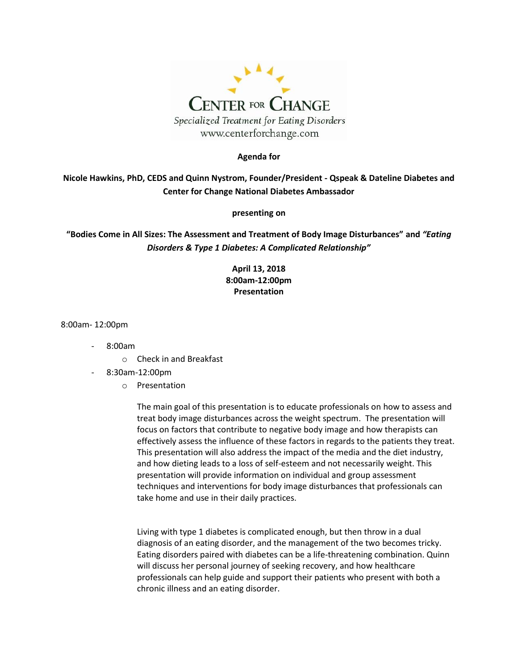

#### **Agenda for**

**Nicole Hawkins, PhD, CEDS and Quinn Nystrom, Founder/President - Qspeak & Dateline Diabetes and Center for Change National Diabetes Ambassador** 

#### **presenting on**

**"Bodies Come in All Sizes: The Assessment and Treatment of Body Image Disturbances" and** *"Eating Disorders & Type 1 Diabetes: A Complicated Relationship"*

### **April 13, 2018 8:00am-12:00pm Presentation**

8:00am- 12:00pm

- 8:00am
	- o Check in and Breakfast
- 8:30am-12:00pm
	- o Presentation

The main goal of this presentation is to educate professionals on how to assess and treat body image disturbances across the weight spectrum. The presentation will focus on factors that contribute to negative body image and how therapists can effectively assess the influence of these factors in regards to the patients they treat. This presentation will also address the impact of the media and the diet industry, and how dieting leads to a loss of self-esteem and not necessarily weight. This presentation will provide information on individual and group assessment techniques and interventions for body image disturbances that professionals can take home and use in their daily practices.

Living with type 1 diabetes is complicated enough, but then throw in a dual diagnosis of an eating disorder, and the management of the two becomes tricky. Eating disorders paired with diabetes can be a life-threatening combination. Quinn will discuss her personal journey of seeking recovery, and how healthcare professionals can help guide and support their patients who present with both a chronic illness and an eating disorder.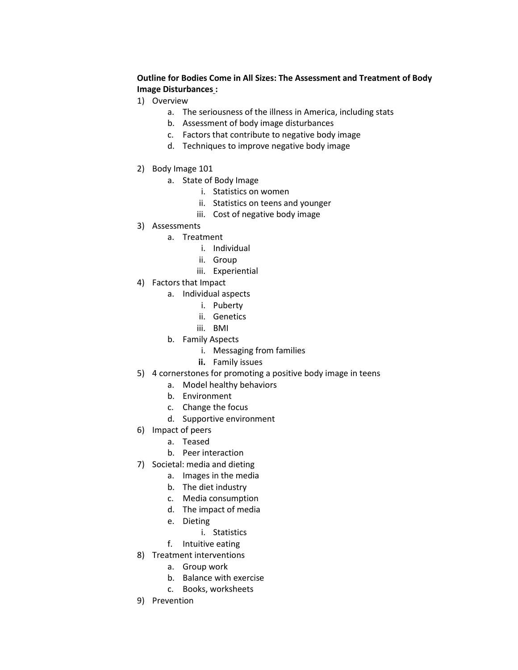#### **Outline for Bodies Come in All Sizes: The Assessment and Treatment of Body Image Disturbances :**

- 1) Overview
	- a. The seriousness of the illness in America, including stats
	- b. Assessment of body image disturbances
	- c. Factors that contribute to negative body image
	- d. Techniques to improve negative body image
- 2) Body Image 101
	- a. State of Body Image
		- i. Statistics on women
		- ii. Statistics on teens and younger
		- iii. Cost of negative body image
- 3) Assessments
	- a. Treatment
		- i. Individual
		- ii. Group
		- iii. Experiential
- 4) Factors that Impact
	- a. Individual aspects
		- i. Puberty
		- ii. Genetics
		- iii. BMI
	- b. Family Aspects
		- i. Messaging from families
		- **ii.** Family issues
- 5) 4 cornerstones for promoting a positive body image in teens
	- a. Model healthy behaviors
	- b. Environment
	- c. Change the focus
	- d. Supportive environment
- 6) Impact of peers
	- a. Teased
	- b. Peer interaction
- 7) Societal: media and dieting
	- a. Images in the media
	- b. The diet industry
	- c. Media consumption
	- d. The impact of media
	- e. Dieting
		- i. Statistics
	- f. Intuitive eating
- 8) Treatment interventions
	- a. Group work
	- b. Balance with exercise
	- c. Books, worksheets
- 9) Prevention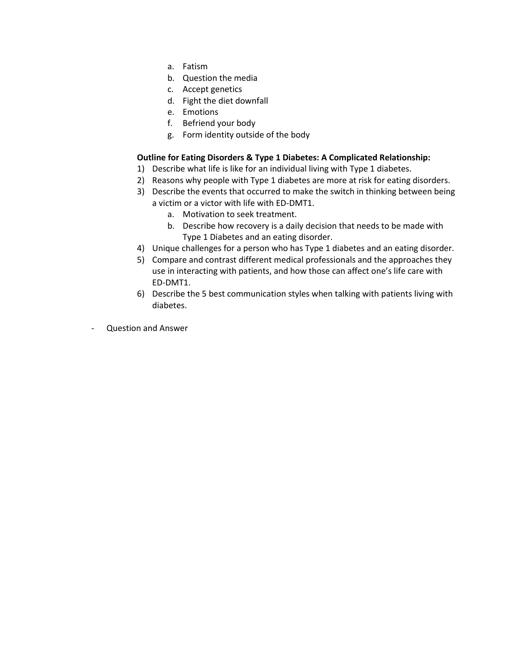- a. Fatism
- b. Question the media
- c. Accept genetics
- d. Fight the diet downfall
- e. Emotions
- f. Befriend your body
- g. Form identity outside of the body

#### **Outline for Eating Disorders & Type 1 Diabetes: A Complicated Relationship:**

- 1) Describe what life is like for an individual living with Type 1 diabetes.
- 2) Reasons why people with Type 1 diabetes are more at risk for eating disorders.
- 3) Describe the events that occurred to make the switch in thinking between being a victim or a victor with life with ED-DMT1.
	- a. Motivation to seek treatment.
	- b. Describe how recovery is a daily decision that needs to be made with Type 1 Diabetes and an eating disorder.
- 4) Unique challenges for a person who has Type 1 diabetes and an eating disorder.
- 5) Compare and contrast different medical professionals and the approaches they use in interacting with patients, and how those can affect one's life care with ED-DMT1.
- 6) Describe the 5 best communication styles when talking with patients living with diabetes.
- Question and Answer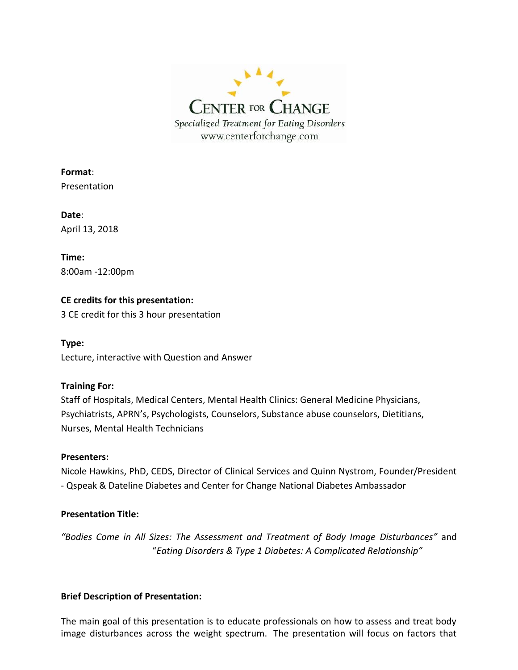

**Format**: Presentation

**Date**: April 13, 2018

**Time:** 8:00am -12:00pm

## **CE credits for this presentation:**

3 CE credit for this 3 hour presentation

**Type:** Lecture, interactive with Question and Answer

## **Training For:**

Staff of Hospitals, Medical Centers, Mental Health Clinics: General Medicine Physicians, Psychiatrists, APRN's, Psychologists, Counselors, Substance abuse counselors, Dietitians, Nurses, Mental Health Technicians

### **Presenters:**

Nicole Hawkins, PhD, CEDS, Director of Clinical Services and Quinn Nystrom, Founder/President - Qspeak & Dateline Diabetes and Center for Change National Diabetes Ambassador

## **Presentation Title:**

*"Bodies Come in All Sizes: The Assessment and Treatment of Body Image Disturbances"* and "*Eating Disorders & Type 1 Diabetes: A Complicated Relationship"*

### **Brief Description of Presentation:**

The main goal of this presentation is to educate professionals on how to assess and treat body image disturbances across the weight spectrum. The presentation will focus on factors that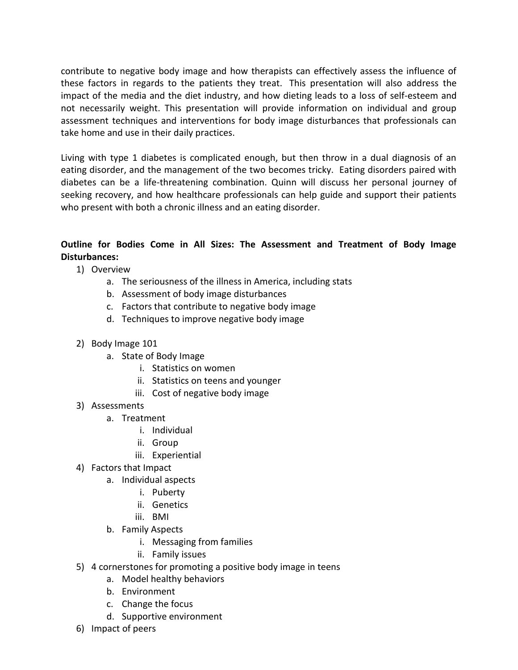contribute to negative body image and how therapists can effectively assess the influence of these factors in regards to the patients they treat. This presentation will also address the impact of the media and the diet industry, and how dieting leads to a loss of self-esteem and not necessarily weight. This presentation will provide information on individual and group assessment techniques and interventions for body image disturbances that professionals can take home and use in their daily practices.

Living with type 1 diabetes is complicated enough, but then throw in a dual diagnosis of an eating disorder, and the management of the two becomes tricky. Eating disorders paired with diabetes can be a life-threatening combination. Quinn will discuss her personal journey of seeking recovery, and how healthcare professionals can help guide and support their patients who present with both a chronic illness and an eating disorder.

# **Outline for Bodies Come in All Sizes: The Assessment and Treatment of Body Image Disturbances:**

- 1) Overview
	- a. The seriousness of the illness in America, including stats
	- b. Assessment of body image disturbances
	- c. Factors that contribute to negative body image
	- d. Techniques to improve negative body image
- 2) Body Image 101
	- a. State of Body Image
		- i. Statistics on women
		- ii. Statistics on teens and younger
		- iii. Cost of negative body image
- 3) Assessments
	- a. Treatment
		- i. Individual
		- ii. Group
		- iii. Experiential
- 4) Factors that Impact
	- a. Individual aspects
		- i. Puberty
		- ii. Genetics
		- iii. BMI
	- b. Family Aspects
		- i. Messaging from families
		- ii. Family issues
- 5) 4 cornerstones for promoting a positive body image in teens
	- a. Model healthy behaviors
	- b. Environment
	- c. Change the focus
	- d. Supportive environment
- 6) Impact of peers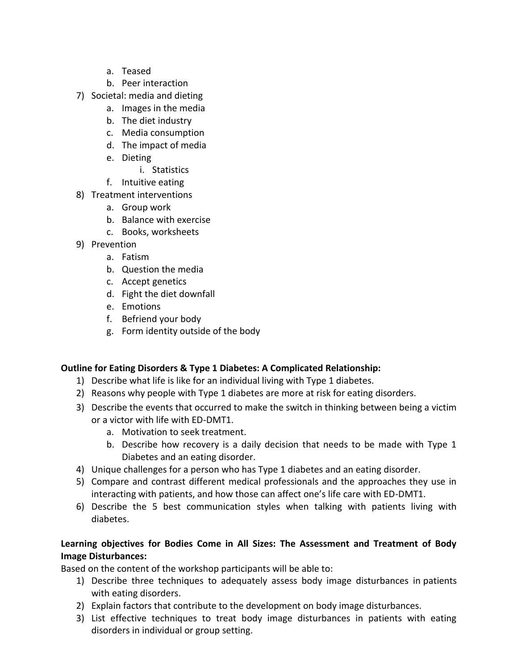- a. Teased
- b. Peer interaction
- 7) Societal: media and dieting
	- a. Images in the media
	- b. The diet industry
	- c. Media consumption
	- d. The impact of media
	- e. Dieting
		- i. Statistics
	- f. Intuitive eating
- 8) Treatment interventions
	- a. Group work
	- b. Balance with exercise
	- c. Books, worksheets
- 9) Prevention
	- a. Fatism
	- b. Question the media
	- c. Accept genetics
	- d. Fight the diet downfall
	- e. Emotions
	- f. Befriend your body
	- g. Form identity outside of the body

# **Outline for Eating Disorders & Type 1 Diabetes: A Complicated Relationship:**

- 1) Describe what life is like for an individual living with Type 1 diabetes.
- 2) Reasons why people with Type 1 diabetes are more at risk for eating disorders.
- 3) Describe the events that occurred to make the switch in thinking between being a victim or a victor with life with ED-DMT1.
	- a. Motivation to seek treatment.
	- b. Describe how recovery is a daily decision that needs to be made with Type 1 Diabetes and an eating disorder.
- 4) Unique challenges for a person who has Type 1 diabetes and an eating disorder.
- 5) Compare and contrast different medical professionals and the approaches they use in interacting with patients, and how those can affect one's life care with ED-DMT1.
- 6) Describe the 5 best communication styles when talking with patients living with diabetes.

# **Learning objectives for Bodies Come in All Sizes: The Assessment and Treatment of Body Image Disturbances:**

Based on the content of the workshop participants will be able to:

- 1) Describe three techniques to adequately assess body image disturbances in patients with eating disorders.
- 2) Explain factors that contribute to the development on body image disturbances.
- 3) List effective techniques to treat body image disturbances in patients with eating disorders in individual or group setting.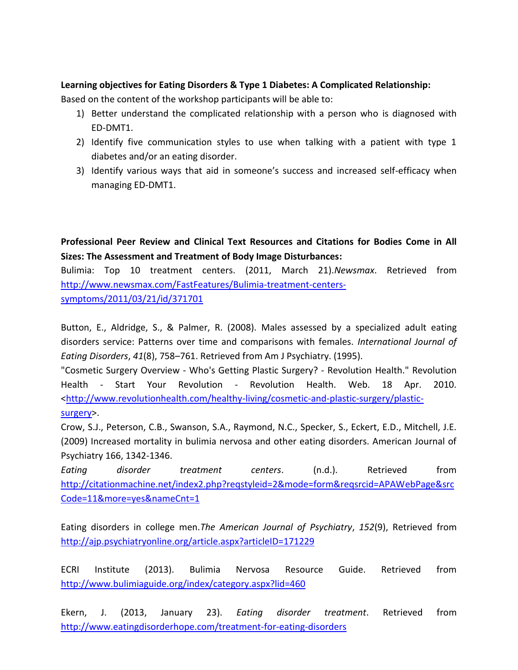### **Learning objectives for Eating Disorders & Type 1 Diabetes: A Complicated Relationship:**

Based on the content of the workshop participants will be able to:

- 1) Better understand the complicated relationship with a person who is diagnosed with ED-DMT1.
- 2) Identify five communication styles to use when talking with a patient with type 1 diabetes and/or an eating disorder.
- 3) Identify various ways that aid in someone's success and increased self-efficacy when managing ED-DMT1.

**Professional Peer Review and Clinical Text Resources and Citations for Bodies Come in All Sizes: The Assessment and Treatment of Body Image Disturbances:**

Bulimia: Top 10 treatment centers. (2011, March 21).*Newsmax*. Retrieved from [http://www.newsmax.com/FastFeatures/Bulimia-treatment-centers](http://www.newsmax.com/FastFeatures/Bulimia-treatment-centers-symptoms/2011/03/21/id/371701)[symptoms/2011/03/21/id/371701](http://www.newsmax.com/FastFeatures/Bulimia-treatment-centers-symptoms/2011/03/21/id/371701)

Button, E., Aldridge, S., & Palmer, R. (2008). Males assessed by a specialized adult eating disorders service: Patterns over time and comparisons with females. *International Journal of Eating Disorders*, *41*(8), 758–761. Retrieved from Am J Psychiatry. (1995).

"Cosmetic Surgery Overview - Who's Getting Plastic Surgery? - Revolution Health." Revolution Health - Start Your Revolution - Revolution Health. Web. 18 Apr. 2010. [<http://www.revolutionhealth.com/healthy-living/cosmetic-and-plastic-surgery/plastic](http://www.revolutionhealth.com/healthy-living/cosmetic-and-plastic-surgery/plastic-surgery)[surgery>](http://www.revolutionhealth.com/healthy-living/cosmetic-and-plastic-surgery/plastic-surgery).

Crow, S.J., Peterson, C.B., Swanson, S.A., Raymond, N.C., Specker, S., Eckert, E.D., Mitchell, J.E. (2009) Increased mortality in bulimia nervosa and other eating disorders. American Journal of Psychiatry 166, 1342-1346.

*Eating disorder treatment centers*. (n.d.). Retrieved from [http://citationmachine.net/index2.php?reqstyleid=2&mode=form&reqsrcid=APAWebPage&src](http://citationmachine.net/index2.php?reqstyleid=2&mode=form&reqsrcid=APAWebPage&srcCode=11&more=yes&nameCnt=1) [Code=11&more=yes&nameCnt=1](http://citationmachine.net/index2.php?reqstyleid=2&mode=form&reqsrcid=APAWebPage&srcCode=11&more=yes&nameCnt=1)

Eating disorders in college men.*The American Journal of Psychiatry*, *152*(9), Retrieved from <http://ajp.psychiatryonline.org/article.aspx?articleID=171229>

ECRI Institute (2013). Bulimia Nervosa Resource Guide. Retrieved from <http://www.bulimiaguide.org/index/category.aspx?lid=460>

Ekern, J. (2013, January 23). *Eating disorder treatment*. Retrieved from <http://www.eatingdisorderhope.com/treatment-for-eating-disorders>